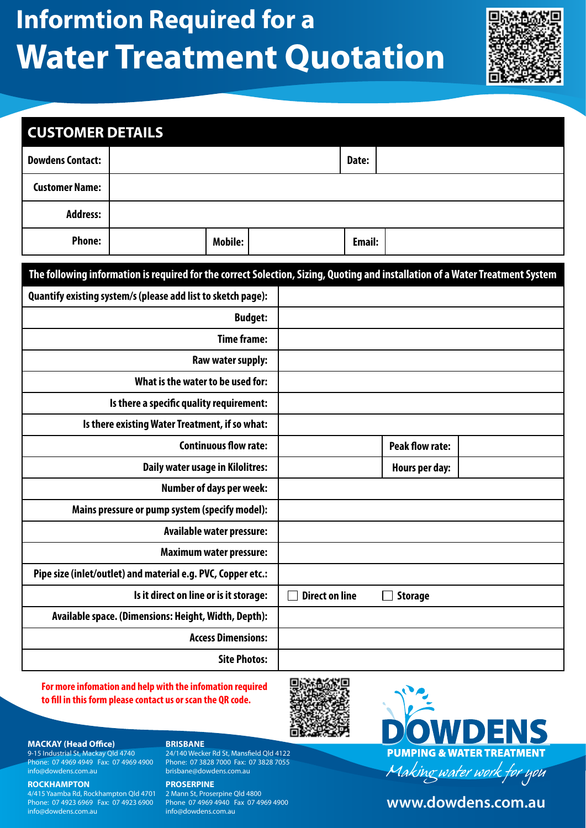# **Informtion Required for a Water Treatment Quotation**



## **CUSTOMER DETAILS Dowdens Contact: Customer Name: Address: Phone: Date: Mobile: Email:**

| The following information is required for the correct Solection, Sizing, Quoting and installation of a Water Treatment System |                       |                        |  |
|-------------------------------------------------------------------------------------------------------------------------------|-----------------------|------------------------|--|
| Quantify existing system/s (please add list to sketch page):                                                                  |                       |                        |  |
| <b>Budget:</b>                                                                                                                |                       |                        |  |
| <b>Time frame:</b>                                                                                                            |                       |                        |  |
| Raw water supply:                                                                                                             |                       |                        |  |
| What is the water to be used for:                                                                                             |                       |                        |  |
| Is there a specific quality requirement:                                                                                      |                       |                        |  |
| Is there existing Water Treatment, if so what:                                                                                |                       |                        |  |
| <b>Continuous flow rate:</b>                                                                                                  |                       | <b>Peak flow rate:</b> |  |
| <b>Daily water usage in Kilolitres:</b>                                                                                       |                       | Hours per day:         |  |
| <b>Number of days per week:</b>                                                                                               |                       |                        |  |
| Mains pressure or pump system (specify model):                                                                                |                       |                        |  |
| Available water pressure:                                                                                                     |                       |                        |  |
| <b>Maximum water pressure:</b>                                                                                                |                       |                        |  |
| Pipe size (inlet/outlet) and material e.g. PVC, Copper etc.:                                                                  |                       |                        |  |
| Is it direct on line or is it storage:                                                                                        | <b>Direct on line</b> | <b>Storage</b>         |  |
| Available space. (Dimensions: Height, Width, Depth):                                                                          |                       |                        |  |
| <b>Access Dimensions:</b>                                                                                                     |                       |                        |  |
| <b>Site Photos:</b>                                                                                                           |                       |                        |  |

**For more infomation and help with the infomation required** to fill in this form please contact us or scan the QR code.





## **MACKAY (Head Office)**

9-15 Industrial St, Mackay Qld 4740 Phone: 07 4969 4949 Fax: 07 4969 4900 info@dowdens.com.au

## **ROCKHAMPTON**

4/415 Yaamba Rd, Rockhampton Qld 4701 Phone: 07 4923 6969 Fax: 07 4923 6900 info@dowdens.com.au

24/140 Wecker Rd St, Mansfield Qld 4122 Phone: 07 3828 7000 Fax: 07 3828 7055 brisbane@dowdens.com.au

## **PROSERPINE**

**BRISBANE**

2 Mann St, Proserpine Qld 4800 Phone 07 4969 4940 Fax 07 4969 4900 info@dowdens.com.au

**www.dowdens.com.au**